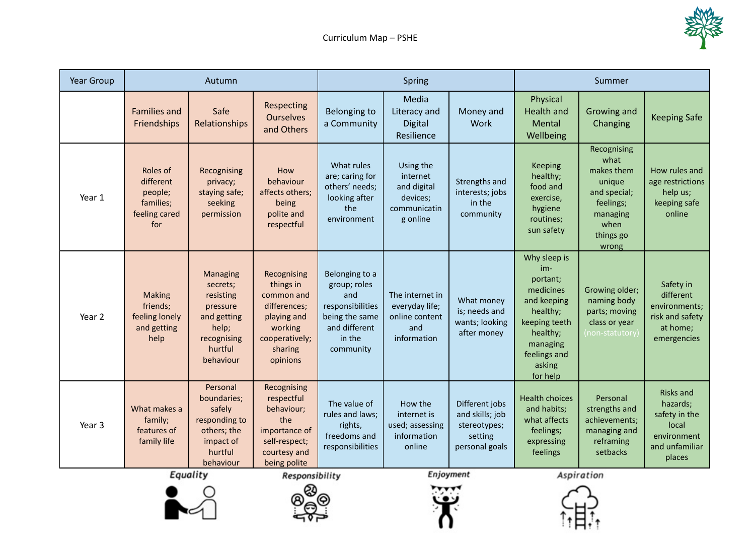

| Year Group | Autumn                                                                |                                                                                                                    |                                                                                                                                    | Spring                                                                                                              |                                                                              |                                                                                             | Summer                                                                                                                                                 |                                                                                                                    |                                                                                                   |
|------------|-----------------------------------------------------------------------|--------------------------------------------------------------------------------------------------------------------|------------------------------------------------------------------------------------------------------------------------------------|---------------------------------------------------------------------------------------------------------------------|------------------------------------------------------------------------------|---------------------------------------------------------------------------------------------|--------------------------------------------------------------------------------------------------------------------------------------------------------|--------------------------------------------------------------------------------------------------------------------|---------------------------------------------------------------------------------------------------|
|            | <b>Families and</b><br>Friendships                                    | Safe<br>Relationships                                                                                              | Respecting<br><b>Ourselves</b><br>and Others                                                                                       | <b>Belonging to</b><br>a Community                                                                                  | Media<br>Literacy and<br><b>Digital</b><br>Resilience                        | Money and<br>Work                                                                           | Physical<br><b>Health and</b><br>Mental<br>Wellbeing                                                                                                   | Growing and<br>Changing                                                                                            | <b>Keeping Safe</b>                                                                               |
| Year 1     | Roles of<br>different<br>people;<br>families;<br>feeling cared<br>for | Recognising<br>privacy;<br>staying safe;<br>seeking<br>permission                                                  | How<br>behaviour<br>affects others;<br>being<br>polite and<br>respectful                                                           | What rules<br>are; caring for<br>others' needs;<br>looking after<br>the<br>environment                              | Using the<br>internet<br>and digital<br>devices;<br>communicatin<br>g online | Strengths and<br>interests; jobs<br>in the<br>community                                     | Keeping<br>healthy;<br>food and<br>exercise,<br>hygiene<br>routines;<br>sun safety                                                                     | Recognising<br>what<br>makes them<br>unique<br>and special;<br>feelings;<br>managing<br>when<br>things go<br>wrong | How rules and<br>age restrictions<br>help us;<br>keeping safe<br>online                           |
| Year 2     | <b>Making</b><br>friends;<br>feeling lonely<br>and getting<br>help    | Managing<br>secrets;<br>resisting<br>pressure<br>and getting<br>help;<br>recognising<br>hurtful<br>behaviour       | Recognising<br>things in<br>common and<br>differences;<br>playing and<br>working<br>cooperatively;<br>sharing<br>opinions          | Belonging to a<br>group; roles<br>and<br>responsibilities<br>being the same<br>and different<br>in the<br>community | The internet in<br>everyday life;<br>online content<br>and<br>information    | What money<br>is; needs and<br>wants; looking<br>after money                                | Why sleep is<br>im-<br>portant;<br>medicines<br>and keeping<br>healthy;<br>keeping teeth<br>healthy;<br>managing<br>feelings and<br>asking<br>for help | Growing older;<br>naming body<br>parts; moving<br>class or year<br>(non-statutory)                                 | Safety in<br>different<br>environments;<br>risk and safety<br>at home;<br>emergencies             |
| Year 3     | What makes a<br>family;<br>features of<br>family life                 | Personal<br>boundaries;<br>safely<br>responding to<br>others; the<br>impact of<br>hurtful<br>behaviour<br>Equality | Recognising<br>respectful<br>behaviour;<br>the<br>importance of<br>self-respect;<br>courtesy and<br>being polite<br>Responsibility | The value of<br>rules and laws;<br>rights,<br>freedoms and<br>responsibilities                                      | How the<br>internet is<br>used; assessing<br>information<br>online           | Different jobs<br>and skills; job<br>stereotypes;<br>setting<br>personal goals<br>Enjoyment | <b>Health choices</b><br>and habits;<br>what affects<br>feelings;<br>expressing<br>feelings                                                            | Personal<br>strengths and<br>achievements;<br>managing and<br>reframing<br>setbacks<br>Aspiration                  | <b>Risks and</b><br>hazards;<br>safety in the<br>local<br>environment<br>and unfamiliar<br>places |

Equality



**Enjoyment** 

Aspiration